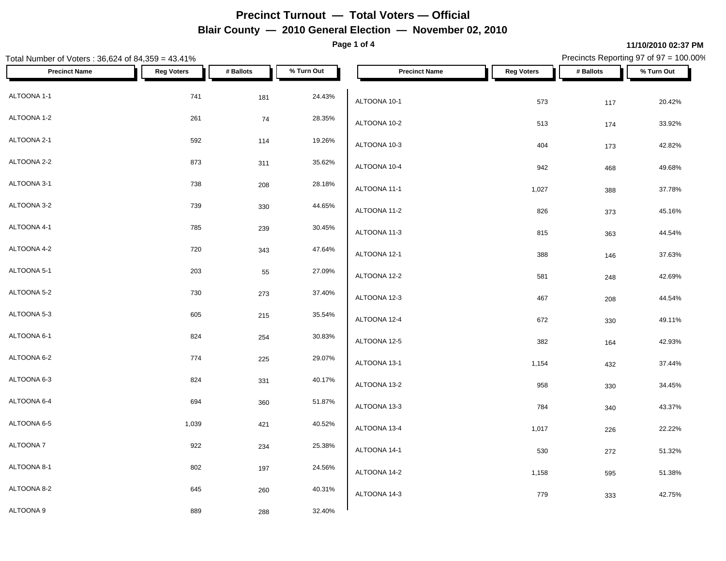**Page 1 of 4**

### **11/10/2010 02:37 PM**

Total Number of Voters : 36,624 of 84,359 = 43.41% Precincts Reporting 97 of 97 = 100.00% **Precinct Name Reg Voters # Ballots % Turn Out Precinct Name Reg Voters # Ballots % Turn Out**  $\text{ALTOONA } 1-1$   $\text{ALTOONA } 4-1$   $\text{ALTOONA } 4-1$ ALTOONA 1-2 26.35% and  $\begin{array}{ccc} 261 & 74 & 28.35\% \\ 261 & 74 & 28.35\% \end{array}$ ALTOONA 2-1 592 114 19.26%  $ALTOONA 2-2$  873 311 35.62% 1  $ATOOM 40.4$ ALTOONA 3-1 2008 28.18% 2008 28.18% 2011 2012 2013 2014 2020 203 28.18% 2012 2020 2030 2031 2032 2032 2032 203 ALTOONA 3-2 **8** 230 330 44.65% **10.17 230 44.65%** 1  $\frac{1}{2}$  $\text{ALTOONA }4-1$   $\text{785}$   $\text{239}$   $\text{30.45\%}$   $\text{ATOONA }4.2$  $ALTOONA 4-2$   $720$   $343$   $47.64\%$   $\leftarrow$   $\leftarrow$   $\leftarrow$   $\leftarrow$   $\leftarrow$   $\leftarrow$   $\leftarrow$   $\leftarrow$   $\leftarrow$   $\leftarrow$   $\leftarrow$   $\leftarrow$   $\leftarrow$   $\leftarrow$   $\leftarrow$   $\leftarrow$   $\leftarrow$   $\leftarrow$   $\leftarrow$   $\leftarrow$   $\leftarrow$   $\leftarrow$   $\leftarrow$   $\leftarrow$   $\leftarrow$   $\leftarrow$   $\leftarrow$   $\leftarrow$   $\leftarrow$   $\leftarrow$   $\leftarrow$   $\left$ ALTOONA 5-1 2003 203 203 203 203 203 204 205 27.09% 1  $\alpha$ ALTOONA 5-2 273 273 37.40% 1  $\overline{a}$  273 37.40% 1  $\overline{a}$  270  $\overline{a}$  1.500  $\overline{a}$  1.500  $\overline{a}$  1.500  $\overline{a}$  1.500  $\overline{a}$  1.500  $\overline{a}$  1.500  $\overline{a}$  1.500  $\overline{a}$  1.500  $\overline{a}$  1.500  $\overline{a}$  1.500  $\overline{a}$ ALTOONA 5-3 605 215 35.54%  $\text{ALTOONA } 6-1$  824  $\text{B}254$  30.83%  $\text{A}17\text{OOM}$  $ALTOONA 6-2$   $225$   $29.07%$   $274$   $225$   $29.07%$   $29.07%$  $ALTOONA 6-3$  824 331 40.17% 1.1700 4.2.2  $ALTOONA 6-4$  694 360 51.87% 1.17 6.117 6.14.12.2 ALTOONA 6-5 1,039 421 40.52%  $\text{ALTOONA 7}$   $\text{ALTOONA 44.4}$  $ALTOONA 8-1$  802 197 24.56% 1  $\frac{1}{24.56\%}$   $\frac{1}{24.56\%}$  $ALTOONA 8-2$  645 260 40.31% 1.17  $\Omega_{A}$  1.76  $\Omega_{A}$  1.41.2  $ALTOONA 9$  889  $288$   $32.40\%$   $\blacksquare$ ALTOONA 10-1 573 117 20.42% ALTOONA 10-2 513 174 33.92% ALTOONA 10-3 2004 173 2004 173 2004 173 42.82% ALTOONA 10-4 942 468 49.68% ALTOONA 11-1 1,027 388 37.78% ALTOONA 11-2 826 373 45.16% ALTOONA 11-3 815 363 44.54% ALTOONA 12-1 388 146 37.63% ALTOONA 12-2 581 248 42.69% ALTOONA 12-3 467 208 44.54% ALTOONA 12-4 672 330 49.11% ALTOONA 12-5 382 164 42.93% ALTOONA 13-1 1,154 432 37.44% ALTOONA 13-2 958 330 34.45% ALTOONA 13-3 784 340 43.37% ALTOONA 13-4 1,017 226 22.22% ALTOONA 14-1 530 272 51.32% ALTOONA 14-2 1,158 595 51.38% ALTOONA 14-3 779 333 42.75%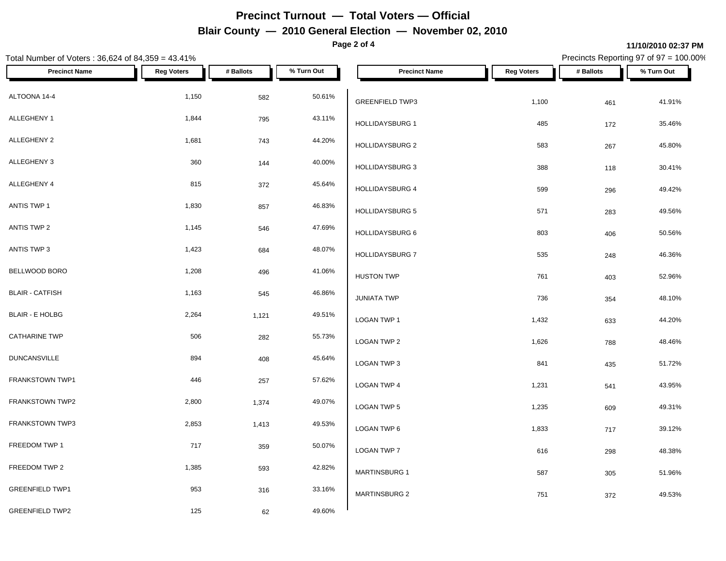**Page 2 of 4**

### Total Number of Voters : 36,624 of 84,359 = 43.41% Precincts Reporting 97 of 97 = 100.00% **Precinct Name Reg Voters # Ballots % Turn Out Precinct Name Reg Voters # Ballots % Turn Out**  $\textsf{ALTOONA 14-4} \quad \textcolor{red}{\textsf{14-4}} \quad \textcolor{red}{\textsf{1,150}} \quad \textcolor{red}{\textsf{582}} \quad \textcolor{red}{\textsf{50.61\%}} \quad \textcolor{red}{\textsf{1,251\%}} \quad \textcolor{red}{\textsf{1,251\%}} \quad \textcolor{red}{\textsf{1,251\%}} \quad \textcolor{red}{\textsf{1,251\%}} \quad \textcolor{red}{\textsf{1,251\%}} \quad \textcolor{red}{\textsf{1,251\%}} \quad \textcolor{red}{\textsf{1,25$ ALLEGHENY 1 1,844 795 43.11% 1, ALLEGHENY 2 1,681 743 44.20% ALLEGHENY 3 360 144 40.00% ALLEGHENY 4 815 372 45.64%  $\text{ANTIS TWP 1}$  1,830 857 46.83%  $\bigcup_{1,9,1,1}\text{PAYGPIPGC}$  $\text{ANTIS TWP 2}$  1,145 546 47.69%  $\bigcup_{1,1}\{1,1\}$ ANTIS TWP 3 1,423 684 48.07% 1,100 J DAY CRIPS 2 BELLWOOD BORO 1,208 496 41.06% BLAIR - CATFISH 1,163 545 46.86% JUNIATA TWP BLAIR - E HOLBG 2,264 1,121 49.51% CATHARINE TWP 506 282 55.73% DUNCANSVILLE  $\begin{array}{cccc} 894 & 408 & 45.64\% \\ 894 & 408 & 45.64\% \end{array}$ FRANKSTOWN TWP1 **1** 446 257 57.62% LOGAN TWP 4 FRANKSTOWN TWP2 2,800 2,800 1,374 49.07% LOGAN TWP 5 FRANKSTOWN TWP3 2,853 2,853 1,413 49.53% LOGAN TWP 6 FREEDOM TWP 1 **717** 359 50.07% LOGAN TWP 7 FREEDOM TWP 2  $1,385$   $593$   $42.82\%$   $...$   $1,1385$ GREENFIELD TWP1 **853** 316 33.16% GREENFIELD TWP2 125 125 62 49.60% GREENFIELD TWP3 1,100 461 41.91% HOLLIDAYSBURG 1 **485** 172 35.46% HOLLIDAYSBURG 2 583 267 45.80% HOLLIDAYSBURG 3 388 388 388 388 30.41% HOLLIDAYSBURG 4 599 296 49.42% HOLLIDAYSBURG 5 571 283 49.56% HOLLIDAYSBURG 6 803 406 50.56% HOLLIDAYSBURG 7 535 248 46.36% HUSTON TWP **761** 2003 52.96%  $JUNIATA$  TWP  $736$   $354$   $48.10\%$ LOGAN TWP 1 1,432 633 44.20% LOGAN TWP 2 2 2 2 2 2 2 3 2 3 3 48.46% 1,626 2 3 48.46% 2 3 48.46% 2 3 48.46% 2 3 48.46% 2 3 48.46% 2 3 48.46% LOGAN TWP 3 841 435 51.72% LOGAN TWP 4 1,231 541 43.95%  $\,$  LOGAN TWP 5  $\,$  1,235  $\,$  609  $\,$  49.31%  $\,$ LOGAN TWP 6 1,833 717 39.12%  $\,$  LOGAN TWP 7  $\,$  616  $\,$  298  $\,$  48.38%  $\,$ MARTINSBURG 1 587 305 51.96% MARTINSBURG 2 2 2 372 49.53%

#### **11/10/2010 02:37 PM**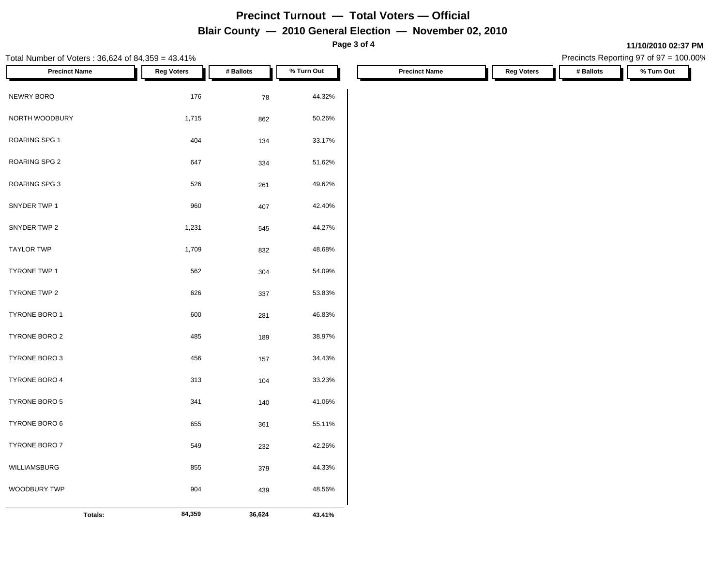**Page 3 of 4**

**11/10/2010 02:37 PM**

| Total Number of Voters: 36,624 of 84,359 = 43.41% |                   |            |            |                      |                   | Precincts Reporting 97 of 97 = 100.00% |            |
|---------------------------------------------------|-------------------|------------|------------|----------------------|-------------------|----------------------------------------|------------|
| <b>Precinct Name</b>                              | <b>Reg Voters</b> | # Ballots  | % Turn Out | <b>Precinct Name</b> | <b>Reg Voters</b> | # Ballots                              | % Turn Out |
| NEWRY BORO                                        | 176               | ${\bf 78}$ | 44.32%     |                      |                   |                                        |            |
| NORTH WOODBURY                                    | 1,715             | 862        | 50.26%     |                      |                   |                                        |            |
| ROARING SPG 1                                     | 404               | 134        | 33.17%     |                      |                   |                                        |            |
| ROARING SPG 2                                     | 647               | 334        | 51.62%     |                      |                   |                                        |            |
| ROARING SPG 3                                     | 526               | 261        | 49.62%     |                      |                   |                                        |            |
| SNYDER TWP 1                                      | 960               | 407        | 42.40%     |                      |                   |                                        |            |
| SNYDER TWP 2                                      | 1,231             | 545        | 44.27%     |                      |                   |                                        |            |
| <b>TAYLOR TWP</b>                                 | 1,709             | 832        | 48.68%     |                      |                   |                                        |            |
| TYRONE TWP 1                                      | 562               | 304        | 54.09%     |                      |                   |                                        |            |
| TYRONE TWP 2                                      | 626               | 337        | 53.83%     |                      |                   |                                        |            |
| TYRONE BORO 1                                     | 600               | 281        | 46.83%     |                      |                   |                                        |            |
| TYRONE BORO 2                                     | 485               | 189        | 38.97%     |                      |                   |                                        |            |
| TYRONE BORO 3                                     | 456               | 157        | 34.43%     |                      |                   |                                        |            |
| TYRONE BORO 4                                     | 313               | 104        | 33.23%     |                      |                   |                                        |            |
| TYRONE BORO 5                                     | 341               | 140        | 41.06%     |                      |                   |                                        |            |
| TYRONE BORO 6                                     | 655               | 361        | 55.11%     |                      |                   |                                        |            |
| TYRONE BORO 7                                     | 549               | 232        | 42.26%     |                      |                   |                                        |            |
| WILLIAMSBURG                                      | 855               | 379        | 44.33%     |                      |                   |                                        |            |
| WOODBURY TWP                                      | 904               | 439        | 48.56%     |                      |                   |                                        |            |
| Totals:                                           | 84,359            | 36,624     | 43.41%     |                      |                   |                                        |            |